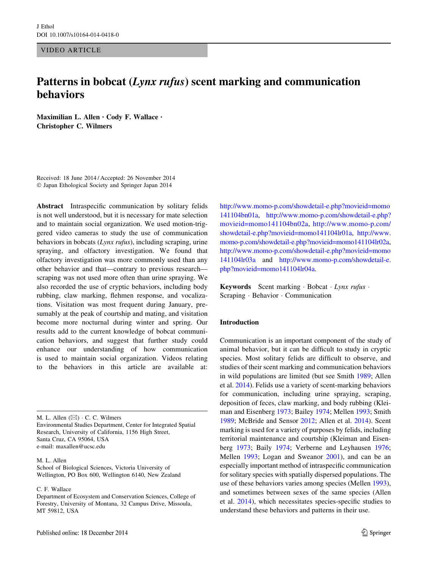VIDEO ARTICLE

# Patterns in bobcat (Lynx rufus) scent marking and communication behaviors

Maximilian L. Allen • Cody F. Wallace • Christopher C. Wilmers

Received: 18 June 2014 / Accepted: 26 November 2014 - Japan Ethological Society and Springer Japan 2014

Abstract Intraspecific communication by solitary felids is not well understood, but it is necessary for mate selection and to maintain social organization. We used motion-triggered video cameras to study the use of communication behaviors in bobcats (Lynx rufus), including scraping, urine spraying, and olfactory investigation. We found that olfactory investigation was more commonly used than any other behavior and that—contrary to previous research scraping was not used more often than urine spraying. We also recorded the use of cryptic behaviors, including body rubbing, claw marking, flehmen response, and vocalizations. Visitation was most frequent during January, presumably at the peak of courtship and mating, and visitation become more nocturnal during winter and spring. Our results add to the current knowledge of bobcat communication behaviors, and suggest that further study could enhance our understanding of how communication is used to maintain social organization. Videos relating to the behaviors in this article are available at:

M. L. Allen  $(\boxtimes) \cdot C$ . C. Wilmers Environmental Studies Department, Center for Integrated Spatial Research, University of California, 1156 High Street, Santa Cruz, CA 95064, USA e-mail: maxallen@ucsc.edu

M. L. Allen

School of Biological Sciences, Victoria University of Wellington, PO Box 600, Wellington 6140, New Zealand

C. F. Wallace

[http://www.momo-p.com/showdetail-e.php?movieid=momo](http://www.momo-p.com/showdetail-e.php?movieid=momo141104bn01a) [141104bn01a](http://www.momo-p.com/showdetail-e.php?movieid=momo141104bn01a), [http://www.momo-p.com/showdetail-e.php?](http://www.momo-p.com/showdetail-e.php?movieid=momo141104bn02a) [movieid=momo141104bn02a](http://www.momo-p.com/showdetail-e.php?movieid=momo141104bn02a), [http://www.momo-p.com/](http://www.momo-p.com/showdetail-e.php?movieid=momo141104lr01a) [showdetail-e.php?movieid=momo141104lr01a,](http://www.momo-p.com/showdetail-e.php?movieid=momo141104lr01a) [http://www.](http://www.momo-p.com/showdetail-e.php?movieid=momo141104lr02a) [momo-p.com/showdetail-e.php?movieid=momo141104lr02a,](http://www.momo-p.com/showdetail-e.php?movieid=momo141104lr02a) [http://www.momo-p.com/showdetail-e.php?movieid=momo](http://www.momo-p.com/showdetail-e.php?movieid=momo141104lr03a) [141104lr03a](http://www.momo-p.com/showdetail-e.php?movieid=momo141104lr03a) and [http://www.momo-p.com/showdetail-e.](http://www.momo-p.com/showdetail-e.php?movieid=momo141104lr04a) [php?movieid=momo141104lr04a](http://www.momo-p.com/showdetail-e.php?movieid=momo141104lr04a).

Keywords Scent marking · Bobcat · Lynx rufus · Scraping - Behavior - Communication

# Introduction

Communication is an important component of the study of animal behavior, but it can be difficult to study in cryptic species. Most solitary felids are difficult to observe, and studies of their scent marking and communication behaviors in wild populations are limited (but see Smith [1989](#page-5-0); Allen et al. [2014\)](#page-5-0). Felids use a variety of scent-marking behaviors for communication, including urine spraying, scraping, deposition of feces, claw marking, and body rubbing (Kleiman and Eisenberg [1973](#page-5-0); Bailey [1974](#page-5-0); Mellen [1993](#page-5-0); Smith [1989](#page-5-0); McBride and Sensor [2012;](#page-5-0) Allen et al. [2014](#page-5-0)). Scent marking is used for a variety of purposes by felids, including territorial maintenance and courtship (Kleiman and Eisenberg [1973;](#page-5-0) Baily [1974](#page-5-0); Verberne and Leyhausen [1976](#page-5-0); Mellen [1993;](#page-5-0) Logan and Sweanor [2001\)](#page-5-0), and can be an especially important method of intraspecific communication for solitary species with spatially dispersed populations. The use of these behaviors varies among species (Mellen [1993](#page-5-0)), and sometimes between sexes of the same species (Allen et al. [2014](#page-5-0)), which necessitates species-specific studies to understand these behaviors and patterns in their use.

Department of Ecosystem and Conservation Sciences, College of Forestry, University of Montana, 32 Campus Drive, Missoula, MT 59812, USA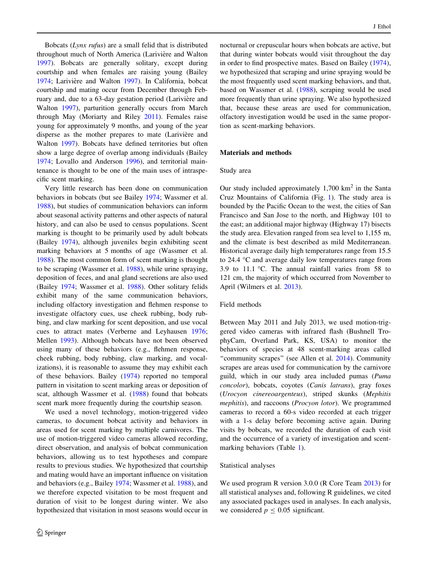Bobcats (Lynx rufus) are a small felid that is distributed throughout much of North America (Larivière and Walton [1997\)](#page-5-0). Bobcats are generally solitary, except during courtship and when females are raising young (Bailey [1974;](#page-5-0) Larivière and Walton [1997](#page-5-0)). In California, bobcat courtship and mating occur from December through February and, due to a 63-day gestation period (Larivière and Walton [1997\)](#page-5-0), parturition generally occurs from March through May (Moriarty and Riley [2011\)](#page-5-0). Females raise young for approximately 9 months, and young of the year disperse as the mother prepares to mate (Larivière and Walton [1997\)](#page-5-0). Bobcats have defined territories but often show a large degree of overlap among individuals (Bailey [1974;](#page-5-0) Lovallo and Anderson [1996\)](#page-5-0), and territorial maintenance is thought to be one of the main uses of intraspecific scent marking.

Very little research has been done on communication behaviors in bobcats (but see Bailey [1974](#page-5-0); Wassmer et al. [1988\)](#page-5-0), but studies of communication behaviors can inform about seasonal activity patterns and other aspects of natural history, and can also be used to census populations. Scent marking is thought to be primarily used by adult bobcats (Bailey [1974](#page-5-0)), although juveniles begin exhibiting scent marking behaviors at 5 months of age (Wassmer et al. [1988\)](#page-5-0). The most common form of scent marking is thought to be scraping (Wassmer et al. [1988\)](#page-5-0), while urine spraying, deposition of feces, and anal gland secretions are also used (Bailey [1974](#page-5-0); Wassmer et al. [1988\)](#page-5-0). Other solitary felids exhibit many of the same communication behaviors, including olfactory investigation and flehmen response to investigate olfactory cues, use cheek rubbing, body rubbing, and claw marking for scent deposition, and use vocal cues to attract mates (Verberne and Leyhausen [1976](#page-5-0); Mellen [1993\)](#page-5-0). Although bobcats have not been observed using many of these behaviors (e.g., flehmen response, cheek rubbing, body rubbing, claw marking, and vocalizations), it is reasonable to assume they may exhibit each of these behaviors. Bailey [\(1974](#page-5-0)) reported no temporal pattern in visitation to scent marking areas or deposition of scat, although Wassmer et al. ([1988\)](#page-5-0) found that bobcats scent mark more frequently during the courtship season.

We used a novel technology, motion-triggered video cameras, to document bobcat activity and behaviors in areas used for scent marking by multiple carnivores. The use of motion-triggered video cameras allowed recording, direct observation, and analysis of bobcat communication behaviors, allowing us to test hypotheses and compare results to previous studies. We hypothesized that courtship and mating would have an important influence on visitation and behaviors (e.g., Bailey [1974](#page-5-0); Wassmer et al. [1988\)](#page-5-0), and we therefore expected visitation to be most frequent and duration of visit to be longest during winter. We also hypothesized that visitation in most seasons would occur in nocturnal or crepuscular hours when bobcats are active, but that during winter bobcats would visit throughout the day in order to find prospective mates. Based on Bailey [\(1974](#page-5-0)), we hypothesized that scraping and urine spraying would be the most frequently used scent marking behaviors, and that, based on Wassmer et al. [\(1988](#page-5-0)), scraping would be used more frequently than urine spraying. We also hypothesized that, because these areas are used for communication, olfactory investigation would be used in the same proportion as scent-marking behaviors.

### Materials and methods

#### Study area

Our study included approximately  $1,700 \text{ km}^2$  in the Santa Cruz Mountains of California (Fig. [1](#page-2-0)). The study area is bounded by the Pacific Ocean to the west, the cities of San Francisco and San Jose to the north, and Highway 101 to the east; an additional major highway (Highway 17) bisects the study area. Elevation ranged from sea level to 1,155 m, and the climate is best described as mild Mediterranean. Historical average daily high temperatures range from 15.5 to 24.4  $\degree$ C and average daily low temperatures range from 3.9 to 11.1 °C. The annual rainfall varies from 58 to 121 cm, the majority of which occurred from November to April (Wilmers et al. [2013](#page-5-0)).

### Field methods

Between May 2011 and July 2013, we used motion-triggered video cameras with infrared flash (Bushnell TrophyCam, Overland Park, KS, USA) to monitor the behaviors of species at 48 scent-marking areas called "community scrapes" (see Allen et al. [2014](#page-5-0)). Community scrapes are areas used for communication by the carnivore guild, which in our study area included pumas (Puma concolor), bobcats, coyotes (Canis latrans), gray foxes (Urocyon cinereoargenteus), striped skunks (Mephitis mephitis), and raccoons (Procyon lotor). We programmed cameras to record a 60-s video recorded at each trigger with a 1-s delay before becoming active again. During visits by bobcats, we recorded the duration of each visit and the occurrence of a variety of investigation and scentmarking behaviors (Table [1\)](#page-2-0).

#### Statistical analyses

We used program R version 3.0.0 (R Core Team [2013](#page-5-0)) for all statistical analyses and, following R guidelines, we cited any associated packages used in analyses. In each analysis, we considered  $p \leq 0.05$  significant.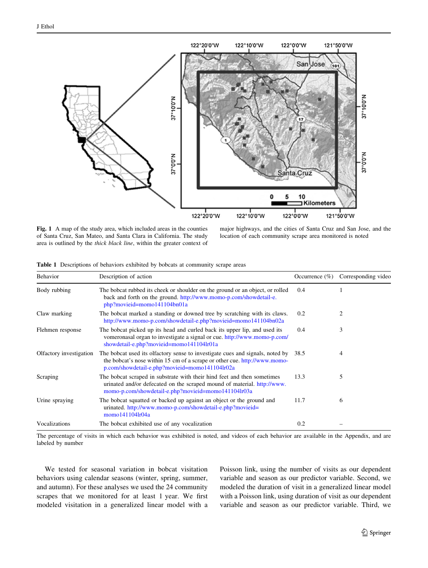<span id="page-2-0"></span>

Fig. 1 A map of the study area, which included areas in the counties of Santa Cruz, San Mateo, and Santa Clara in California. The study area is outlined by the thick black line, within the greater context of

major highways, and the cities of Santa Cruz and San Jose, and the location of each community scrape area monitored is noted

|  | <b>Table 1</b> Descriptions of behaviors exhibited by bobcats at community scrape areas |  |  |  |  |  |  |
|--|-----------------------------------------------------------------------------------------|--|--|--|--|--|--|
|--|-----------------------------------------------------------------------------------------|--|--|--|--|--|--|

| Behavior                | Description of action                                                                                                                                                                                        | Occurrence $(\%)$ | Corresponding video |
|-------------------------|--------------------------------------------------------------------------------------------------------------------------------------------------------------------------------------------------------------|-------------------|---------------------|
| Body rubbing            | The bobcat rubbed its cheek or shoulder on the ground or an object, or rolled<br>back and forth on the ground. http://www.momo-p.com/showdetail-e.<br>php?movieid=momo141104bn01a                            | 0.4               |                     |
| Claw marking            | The bobcat marked a standing or downed tree by scratching with its claws.<br>http://www.momo-p.com/showdetail-e.php?movieid=momo141104bn02a                                                                  | 0.2               | 2                   |
| Flehmen response        | The bobcat picked up its head and curled back its upper lip, and used its<br>vomeronasal organ to investigate a signal or cue. http://www.momo-p.com/<br>showdetail-e.php?movieid=momo141104lr01a            | 0.4               | 3                   |
| Olfactory investigation | The bobcat used its olfactory sense to investigate cues and signals, noted by<br>the bobcat's nose within 15 cm of a scrape or other cue. http://www.momo-<br>p.com/showdetail-e.php?movieid=momo141104lr02a | 38.5              | 4                   |
| Scraping                | The bobcat scraped in substrate with their hind feet and then sometimes<br>urinated and/or defecated on the scraped mound of material. http://www.<br>momo-p.com/showdetail-e.php?movieid=momo141104lr03a    | 13.3              | 5                   |
| Urine spraying          | The bobcat squatted or backed up against an object or the ground and<br>urinated.http://www.momo-p.com/showdetail-e.php?movieid=<br>momo141104lr04a                                                          | 11.7              | 6                   |
| Vocalizations           | The bobcat exhibited use of any vocalization                                                                                                                                                                 | 0.2               |                     |

The percentage of visits in which each behavior was exhibited is noted, and videos of each behavior are available in the Appendix, and are labeled by number

We tested for seasonal variation in bobcat visitation behaviors using calendar seasons (winter, spring, summer, and autumn). For these analyses we used the 24 community scrapes that we monitored for at least 1 year. We first modeled visitation in a generalized linear model with a Poisson link, using the number of visits as our dependent variable and season as our predictor variable. Second, we modeled the duration of visit in a generalized linear model with a Poisson link, using duration of visit as our dependent variable and season as our predictor variable. Third, we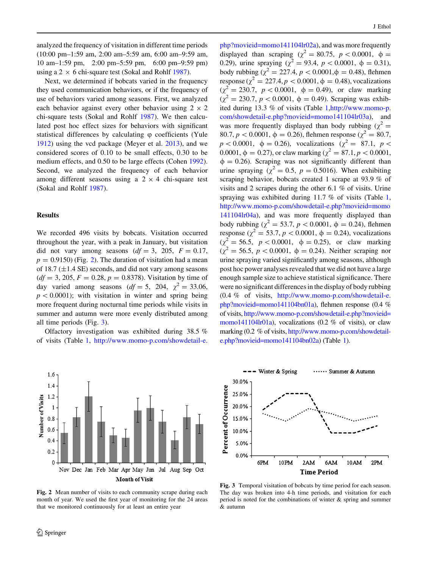<span id="page-3-0"></span>analyzed the frequency of visitation in different time periods (10:00 pm–1:59 am, 2:00 am–5:59 am, 6:00 am–9:59 am, 10 am–1:59 pm, 2:00 pm–5:59 pm, 6:00 pm–9:59 pm) using a 2  $\times$  6 chi-square test (Sokal and Rohlf [1987](#page-5-0)).

Next, we determined if bobcats varied in the frequency they used communication behaviors, or if the frequency of use of behaviors varied among seasons. First, we analyzed each behavior against every other behavior using  $2 \times 2$ chi-square tests (Sokal and Rohlf [1987\)](#page-5-0). We then calculated post hoc effect sizes for behaviors with significant statistical differences by calculating  $\varphi$  coefficients (Yule [1912\)](#page-5-0) using the vcd package (Meyer et al. [2013](#page-5-0)), and we considered scores of 0.10 to be small effects, 0.30 to be medium effects, and 0.50 to be large effects (Cohen [1992](#page-5-0)). Second, we analyzed the frequency of each behavior among different seasons using a  $2 \times 4$  chi-square test (Sokal and Rohlf [1987](#page-5-0)).

### Results

We recorded 496 visits by bobcats. Visitation occurred throughout the year, with a peak in January, but visitation did not vary among seasons  $(df = 3, 205, F = 0.17,$  $p = 0.9150$  (Fig. 2). The duration of visitation had a mean of 18.7 ( $\pm$ 1.4 SE) seconds, and did not vary among seasons  $(df = 3, 205, F = 0.28, p = 0.8378)$ . Visitation by time of day varied among seasons  $(df = 5, 204, \chi^2 = 33.06,$  $p\lt 0.0001$ ; with visitation in winter and spring being more frequent during nocturnal time periods while visits in summer and autumn were more evenly distributed among all time periods (Fig. 3).

Olfactory investigation was exhibited during 38.5 % of visits (Table [1,](#page-2-0) [http://www.momo-p.com/showdetail-e.](http://www.momo-p.com/showdetail-e.php?movieid=momo141104lr02a)



Fig. 2 Mean number of visits to each community scrape during each month of year. We used the first year of monitoring for the 24 areas that we monitored continuously for at least an entire year

 $php?movieid=momo141104lr02a)$  $php?movieid=momo141104lr02a)$ , and was more frequently displayed than scraping ( $\chi^2 = 80.75$ ,  $p < 0.0001$ ,  $\phi =$ 0.29), urine spraying ( $\chi^2 = 93.4$ ,  $p < 0.0001$ ,  $\phi = 0.31$ ), body rubbing  $\chi^2 = 227.4$ ,  $p < 0.0001$ ,  $\phi = 0.48$ ), flehmen response ( $\chi^2 = 227.4, p < 0.0001, \phi = 0.48$ ), vocalizations  $(\chi^2 = 230.7, p < 0.0001, \phi = 0.49)$ , or claw marking  $(\chi^2 = 230.7, p < 0.0001, \phi = 0.49)$ . Scraping was exhibited during 13.3 % of visits (Table [1](#page-2-0),[http://www.momo-p.](http://www.momo-p.com/showdetail-e.php?movieid=momo141104lr03a) [com/showdetail-e.php?movieid=momo141104lr03a\)](http://www.momo-p.com/showdetail-e.php?movieid=momo141104lr03a), and was more frequently displayed than body rubbing ( $\chi^2$  = 80.7,  $p < 0.0001$ ,  $\phi = 0.26$ ), flehmen response ( $\chi^2 = 80.7$ ,  $p < 0.0001$ ,  $\phi = 0.26$ ), vocalizations ( $\chi^2 = 87.1$ ,  $p <$ 0.0001,  $\phi = 0.27$ ), or claw marking ( $\chi^2 = 87.1, p < 0.0001$ ,  $\phi = 0.26$ ). Scraping was not significantly different than urine spraying ( $\chi^2 = 0.5$ ,  $p = 0.5016$ ). When exhibiting scraping behavior, bobcats created 1 scrape at 93.9 % of visits and 2 scrapes during the other 6.1 % of visits. Urine spraying was exhibited during 11.7 % of visits (Table [1,](#page-2-0) [http://www.momo-p.com/showdetail-e.php?movieid=momo](http://www.momo-p.com/showdetail-e.php?movieid=momo141104lr04a) [141104lr04a\)](http://www.momo-p.com/showdetail-e.php?movieid=momo141104lr04a), and was more frequently displayed than body rubbing ( $\chi^2 = 53.7$ ,  $p < 0.0001$ ,  $\phi = 0.24$ ), flehmen response ( $\chi^2 = 53.7, p < 0.0001, \phi = 0.24$ ), vocalizations  $(\chi^2 = 56.5, p < 0.0001, \phi = 0.25)$ , or claw marking  $(\gamma^2 = 56.5, p < 0.0001, \phi = 0.24)$ . Neither scraping nor urine spraying varied significantly among seasons, although post hoc power analyses revealed that we did not have a large enough sample size to achieve statistical significance. There were no significant differences in the display of body rubbing (0.4 % of visits, [http://www.momo-p.com/showdetail-e.](http://www.momo-p.com/showdetail-e.php?movieid=momo141104bn01a) [php?movieid=momo141104bn01a](http://www.momo-p.com/showdetail-e.php?movieid=momo141104bn01a)), flehmen response (0.4 % of visits, [http://www.momo-p.com/showdetail-e.php?movieid=](http://www.momo-p.com/showdetail-e.php?movieid=momo141104lr01a) [momo141104lr01a\)](http://www.momo-p.com/showdetail-e.php?movieid=momo141104lr01a), vocalizations  $(0.2 \% \text{ of visits})$ , or claw marking (0.2 % of visits, [http://www.momo-p.com/showdetail](http://www.momo-p.com/showdetail-e.php?movieid=momo141104bn02a)[e.php?movieid=momo141104bn02a\)](http://www.momo-p.com/showdetail-e.php?movieid=momo141104bn02a) (Table [1](#page-2-0)).



Fig. 3 Temporal visitation of bobcats by time period for each season. The day was broken into 4-h time periods, and visitation for each period is noted for the combinations of winter & spring and summer & autumn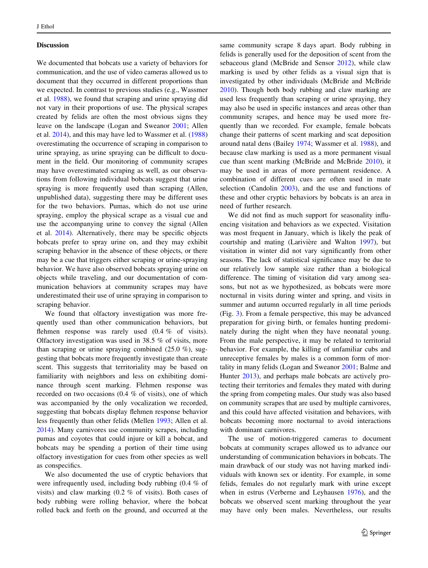#### **Discussion**

We documented that bobcats use a variety of behaviors for communication, and the use of video cameras allowed us to document that they occurred in different proportions than we expected. In contrast to previous studies (e.g., Wassmer et al. [1988\)](#page-5-0), we found that scraping and urine spraying did not vary in their proportions of use. The physical scrapes created by felids are often the most obvious signs they leave on the landscape (Logan and Sweanor [2001](#page-5-0); Allen et al. [2014\)](#page-5-0), and this may have led to Wassmer et al. ([1988\)](#page-5-0) overestimating the occurrence of scraping in comparison to urine spraying, as urine spraying can be difficult to document in the field. Our monitoring of community scrapes may have overestimated scraping as well, as our observations from following individual bobcats suggest that urine spraying is more frequently used than scraping (Allen, unpublished data), suggesting there may be different uses for the two behaviors. Pumas, which do not use urine spraying, employ the physical scrape as a visual cue and use the accompanying urine to convey the signal (Allen et al. [2014\)](#page-5-0). Alternatively, there may be specific objects bobcats prefer to spray urine on, and they may exhibit scraping behavior in the absence of these objects, or there may be a cue that triggers either scraping or urine-spraying behavior. We have also observed bobcats spraying urine on objects while traveling, and our documentation of communication behaviors at community scrapes may have underestimated their use of urine spraying in comparison to scraping behavior.

We found that olfactory investigation was more frequently used than other communication behaviors, but flehmen response was rarely used (0.4 % of visits). Olfactory investigation was used in 38.5 % of visits, more than scraping or urine spraying combined  $(25.0 \%)$ , suggesting that bobcats more frequently investigate than create scent. This suggests that territoriality may be based on familiarity with neighbors and less on exhibiting dominance through scent marking. Flehmen response was recorded on two occasions (0.4 % of visits), one of which was accompanied by the only vocalization we recorded, suggesting that bobcats display flehmen response behavior less frequently than other felids (Mellen [1993;](#page-5-0) Allen et al. [2014\)](#page-5-0). Many carnivores use community scrapes, including pumas and coyotes that could injure or kill a bobcat, and bobcats may be spending a portion of their time using olfactory investigation for cues from other species as well as conspecifics.

We also documented the use of cryptic behaviors that were infrequently used, including body rubbing (0.4 % of visits) and claw marking (0.2 % of visits). Both cases of body rubbing were rolling behavior, where the bobcat rolled back and forth on the ground, and occurred at the same community scrape 8 days apart. Body rubbing in felids is generally used for the deposition of scent from the sebaceous gland (McBride and Sensor [2012](#page-5-0)), while claw marking is used by other felids as a visual sign that is investigated by other individuals (McBride and McBride [2010](#page-5-0)). Though both body rubbing and claw marking are used less frequently than scraping or urine spraying, they may also be used in specific instances and areas other than community scrapes, and hence may be used more frequently than we recorded. For example, female bobcats change their patterns of scent marking and scat deposition around natal dens (Bailey [1974;](#page-5-0) Wassmer et al. [1988](#page-5-0)), and because claw marking is used as a more permanent visual cue than scent marking (McBride and McBride [2010\)](#page-5-0), it may be used in areas of more permanent residence. A combination of different cues are often used in mate selection (Candolin [2003\)](#page-5-0), and the use and functions of these and other cryptic behaviors by bobcats is an area in need of further research.

We did not find as much support for seasonality influencing visitation and behaviors as we expected. Visitation was most frequent in January, which is likely the peak of courtship and mating (Larivière and Walton [1997](#page-5-0)), but visitation in winter did not vary significantly from other seasons. The lack of statistical significance may be due to our relatively low sample size rather than a biological difference. The timing of visitation did vary among seasons, but not as we hypothesized, as bobcats were more nocturnal in visits during winter and spring, and visits in summer and autumn occurred regularly in all time periods (Fig. [3\)](#page-3-0). From a female perspective, this may be advanced preparation for giving birth, or females hunting predominately during the night when they have neonatal young. From the male perspective, it may be related to territorial behavior. For example, the killing of unfamiliar cubs and unreceptive females by males is a common form of mortality in many felids (Logan and Sweanor [2001;](#page-5-0) Balme and Hunter [2013](#page-5-0)), and perhaps male bobcats are actively protecting their territories and females they mated with during the spring from competing males. Our study was also based on community scrapes that are used by multiple carnivores, and this could have affected visitation and behaviors, with bobcats becoming more nocturnal to avoid interactions with dominant carnivores.

The use of motion-triggered cameras to document bobcats at community scrapes allowed us to advance our understanding of communication behaviors in bobcats. The main drawback of our study was not having marked individuals with known sex or identity. For example, in some felids, females do not regularly mark with urine except when in estrus (Verberne and Leyhausen [1976](#page-5-0)), and the bobcats we observed scent marking throughout the year may have only been males. Nevertheless, our results